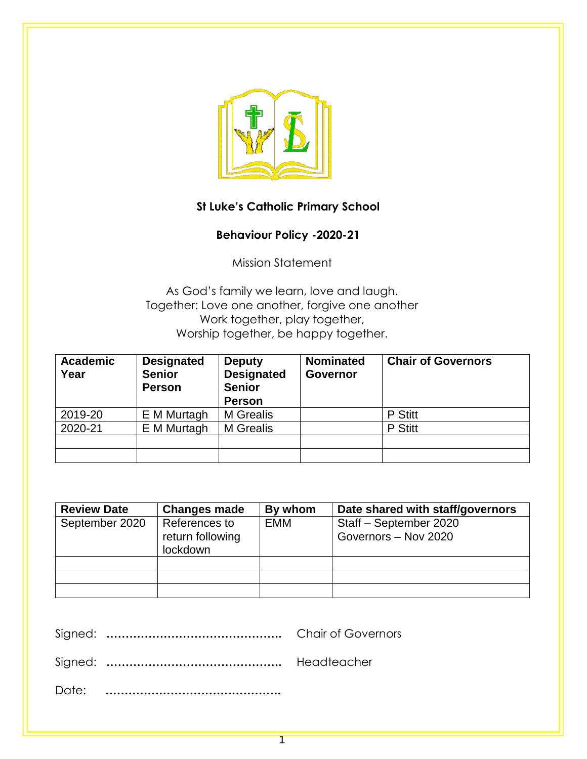

# **St Luke's Catholic Primary School**

# **Behaviour Policy -2020-21**

Mission Statement

As God's family we learn, love and laugh. Together: Love one another, forgive one another Work together, play together, Worship together, be happy together.

| <b>Academic</b><br>Year | <b>Designated</b><br><b>Senior</b><br><b>Person</b> | <b>Deputy</b><br><b>Designated</b><br><b>Senior</b><br><b>Person</b> | <b>Nominated</b><br><b>Governor</b> | <b>Chair of Governors</b> |
|-------------------------|-----------------------------------------------------|----------------------------------------------------------------------|-------------------------------------|---------------------------|
| 2019-20                 | E M Murtagh                                         | M Grealis                                                            |                                     | P Stitt                   |
| 2020-21                 | E M Murtagh                                         | M Grealis                                                            |                                     | P Stitt                   |
|                         |                                                     |                                                                      |                                     |                           |
|                         |                                                     |                                                                      |                                     |                           |

| <b>Review Date</b> | <b>Changes made</b> | By whom    | Date shared with staff/governors |
|--------------------|---------------------|------------|----------------------------------|
| September 2020     | References to       | <b>EMM</b> | Staff - September 2020           |
|                    | return following    |            | Governors - Nov 2020             |
|                    | lockdown            |            |                                  |
|                    |                     |            |                                  |
|                    |                     |            |                                  |
|                    |                     |            |                                  |

1

Signed: **……………………………………….** Chair of Governors

Signed: **……………………………………….** Headteacher

Date: **……………………………………….**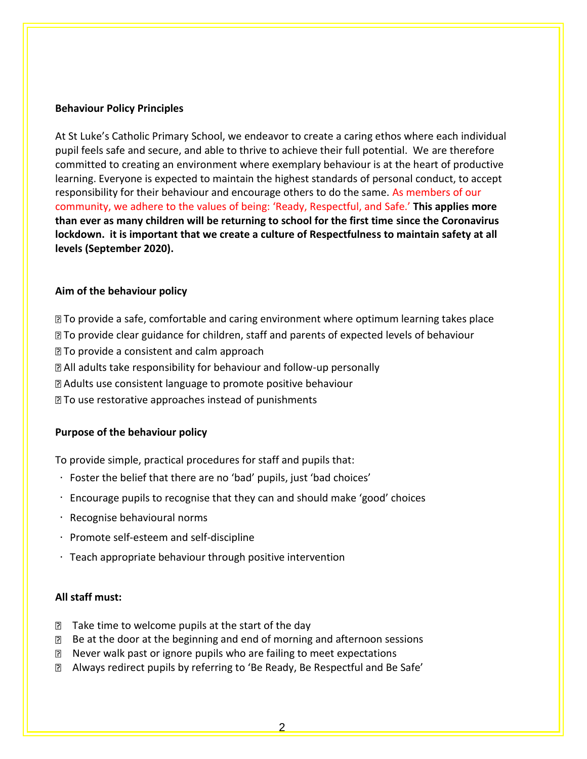#### **Behaviour Policy Principles**

At St Luke's Catholic Primary School, we endeavor to create a caring ethos where each individual pupil feels safe and secure, and able to thrive to achieve their full potential. We are therefore committed to creating an environment where exemplary behaviour is at the heart of productive learning. Everyone is expected to maintain the highest standards of personal conduct, to accept responsibility for their behaviour and encourage others to do the same. As members of our community, we adhere to the values of being: 'Ready, Respectful, and Safe.' **This applies more than ever as many children will be returning to school for the first time since the Coronavirus lockdown. it is important that we create a culture of Respectfulness to maintain safety at all levels (September 2020).**

#### **Aim of the behaviour policy**

To provide a safe, comfortable and caring environment where optimum learning takes place ■ To provide clear guidance for children, staff and parents of expected levels of behaviour To provide a consistent and calm approach All adults take responsibility for behaviour and follow-up personally Adults use consistent language to promote positive behaviour **The use restorative approaches instead of punishments** 

#### **Purpose of the behaviour policy**

To provide simple, practical procedures for staff and pupils that:

- Foster the belief that there are no 'bad' pupils, just 'bad choices'
- Encourage pupils to recognise that they can and should make 'good' choices
- Recognise behavioural norms
- $\cdot$  Promote self-esteem and self-discipline
- Teach appropriate behaviour through positive intervention

#### **All staff must:**

- $\mathbb D$  Take time to welcome pupils at the start of the day
- Be at the door at the beginning and end of morning and afternoon sessions
- **If** Never walk past or ignore pupils who are failing to meet expectations
- Always redirect pupils by referring to 'Be Ready, Be Respectful and Be Safe'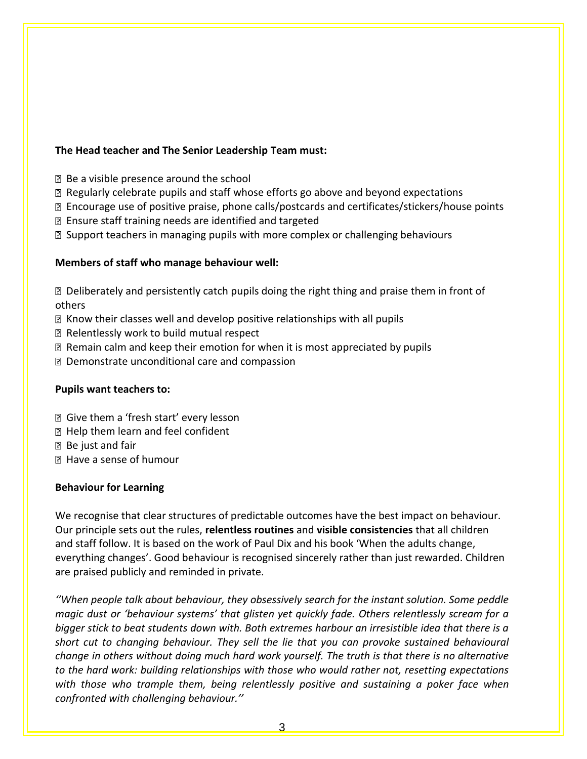### **The Head teacher and The Senior Leadership Team must:**

- Be a visible presence around the school
- Regularly celebrate pupils and staff whose efforts go above and beyond expectations
- Encourage use of positive praise, phone calls/postcards and certificates/stickers/house points
- Ensure staff training needs are identified and targeted
- **B** Support teachers in managing pupils with more complex or challenging behaviours

#### **Members of staff who manage behaviour well:**

Deliberately and persistently catch pupils doing the right thing and praise them in front of others

- Know their classes well and develop positive relationships with all pupils
- Relentlessly work to build mutual respect
- Remain calm and keep their emotion for when it is most appreciated by pupils
- Demonstrate unconditional care and compassion

#### **Pupils want teachers to:**

- Give them a 'fresh start' every lesson
- **E** Help them learn and feel confident
- **B** Be just and fair
- Have a sense of humour

#### **Behaviour for Learning**

We recognise that clear structures of predictable outcomes have the best impact on behaviour. Our principle sets out the rules, **relentless routines** and **visible consistencies** that all children and staff follow. It is based on the work of Paul Dix and his book 'When the adults change, everything changes'. Good behaviour is recognised sincerely rather than just rewarded. Children are praised publicly and reminded in private.

*''When people talk about behaviour, they obsessively search for the instant solution. Some peddle magic dust or 'behaviour systems' that glisten yet quickly fade. Others relentlessly scream for a bigger stick to beat students down with. Both extremes harbour an irresistible idea that there is a short cut to changing behaviour. They sell the lie that you can provoke sustained behavioural change in others without doing much hard work yourself. The truth is that there is no alternative to the hard work: building relationships with those who would rather not, resetting expectations with those who trample them, being relentlessly positive and sustaining a poker face when confronted with challenging behaviour.''*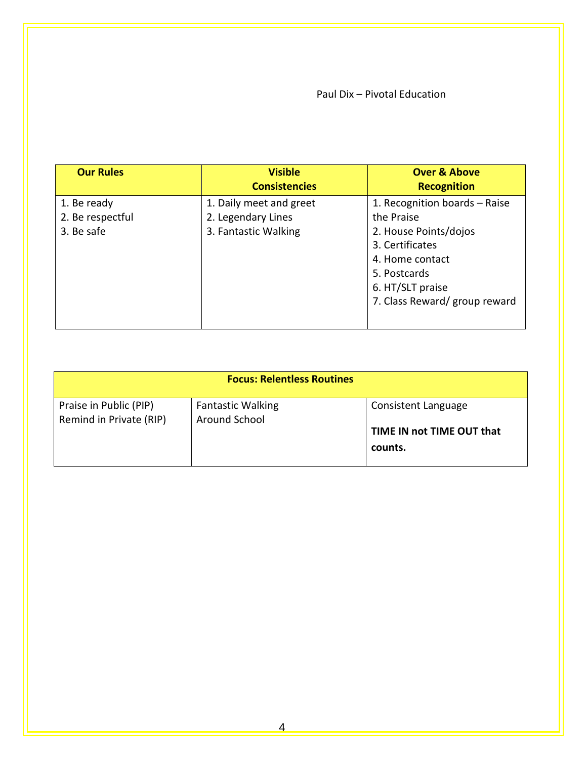## Paul Dix – Pivotal Education

| <b>Our Rules</b> | <b>Visible</b><br><b>Consistencies</b> | <b>Over &amp; Above</b><br><b>Recognition</b> |
|------------------|----------------------------------------|-----------------------------------------------|
| 1. Be ready      | 1. Daily meet and greet                | 1. Recognition boards - Raise                 |
| 2. Be respectful | 2. Legendary Lines                     | the Praise                                    |
| 3. Be safe       | 3. Fantastic Walking                   | 2. House Points/dojos                         |
|                  |                                        | 3. Certificates                               |
|                  |                                        | 4. Home contact                               |
|                  |                                        | 5. Postcards                                  |
|                  |                                        | 6. HT/SLT praise                              |
|                  |                                        | 7. Class Reward/ group reward                 |
|                  |                                        |                                               |

| <b>Focus: Relentless Routines</b>                 |                                           |                                      |  |  |  |
|---------------------------------------------------|-------------------------------------------|--------------------------------------|--|--|--|
| Praise in Public (PIP)<br>Remind in Private (RIP) | <b>Fantastic Walking</b><br>Around School | Consistent Language                  |  |  |  |
|                                                   |                                           | TIME IN not TIME OUT that<br>counts. |  |  |  |
|                                                   |                                           |                                      |  |  |  |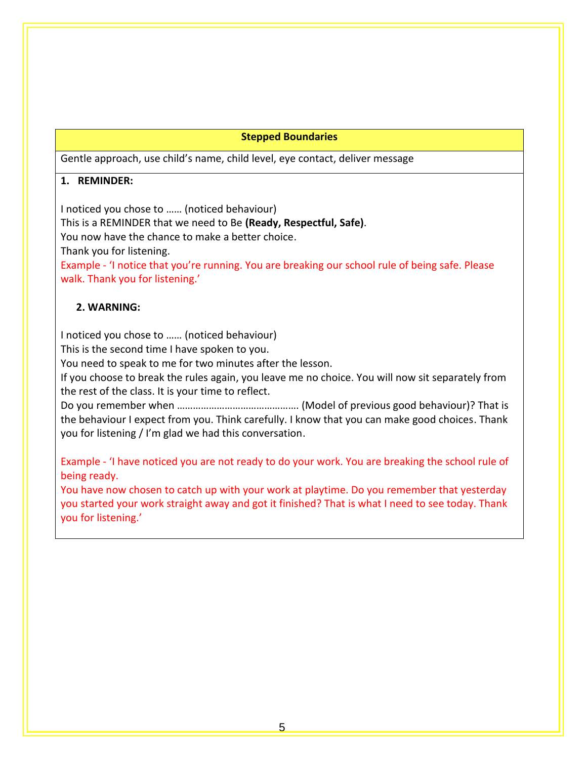#### **Stepped Boundaries**

Gentle approach, use child's name, child level, eye contact, deliver message

## **1. REMINDER:**

I noticed you chose to …… (noticed behaviour)

This is a REMINDER that we need to Be **(Ready, Respectful, Safe)**.

You now have the chance to make a better choice.

Thank you for listening.

Example - 'I notice that you're running. You are breaking our school rule of being safe. Please walk. Thank you for listening.'

## **2. WARNING:**

I noticed you chose to …… (noticed behaviour)

This is the second time I have spoken to you.

You need to speak to me for two minutes after the lesson.

If you choose to break the rules again, you leave me no choice. You will now sit separately from the rest of the class. It is your time to reflect.

Do you remember when ………………………………………. (Model of previous good behaviour)? That is the behaviour I expect from you. Think carefully. I know that you can make good choices. Thank you for listening / I'm glad we had this conversation.

Example - 'I have noticed you are not ready to do your work. You are breaking the school rule of being ready.

You have now chosen to catch up with your work at playtime. Do you remember that yesterday you started your work straight away and got it finished? That is what I need to see today. Thank you for listening.'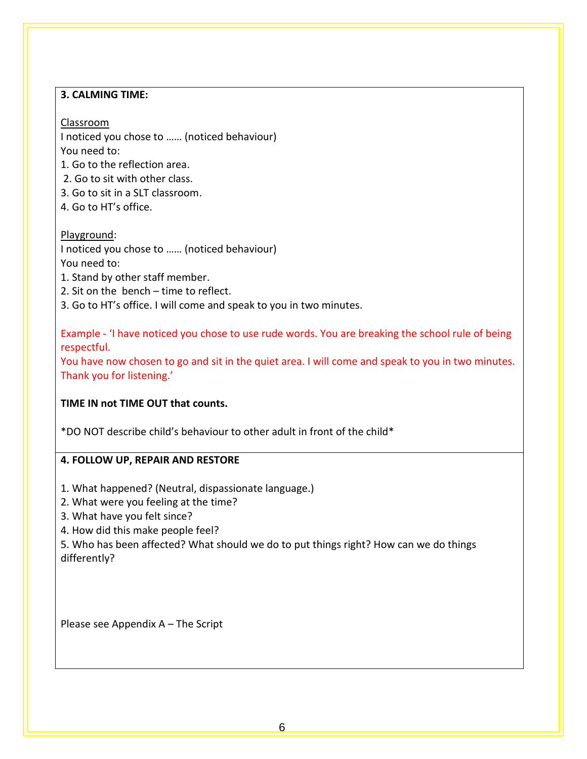## **3. CALMING TIME:**

# Classroom

I noticed you chose to …… (noticed behaviour) You need to:

1. Go to the reflection area.

2. Go to sit with other class.

- 3. Go to sit in a SLT classroom.
- 4. Go to HT's office.

# Playground:

I noticed you chose to …… (noticed behaviour) You need to:

- 1. Stand by other staff member.
- 2. Sit on the bench time to reflect.
- 3. Go to HT's office. I will come and speak to you in two minutes.

Example - 'I have noticed you chose to use rude words. You are breaking the school rule of being respectful.

You have now chosen to go and sit in the quiet area. I will come and speak to you in two minutes. Thank you for listening.'

# **TIME IN not TIME OUT that counts.**

\*DO NOT describe child's behaviour to other adult in front of the child\*

## **4. FOLLOW UP, REPAIR AND RESTORE**

- 1. What happened? (Neutral, dispassionate language.)
- 2. What were you feeling at the time?
- 3. What have you felt since?
- 4. How did this make people feel?

5. Who has been affected? What should we do to put things right? How can we do things differently?

Please see Appendix A – The Script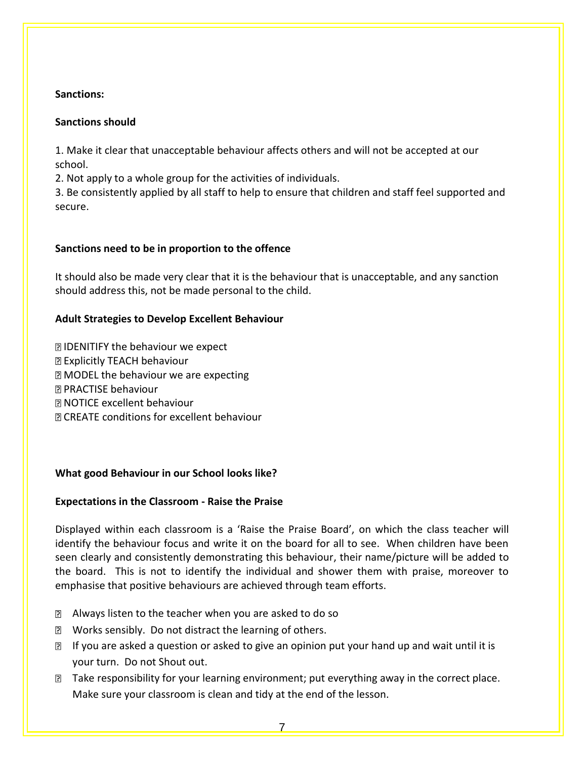## **Sanctions:**

## **Sanctions should**

1. Make it clear that unacceptable behaviour affects others and will not be accepted at our school.

2. Not apply to a whole group for the activities of individuals.

3. Be consistently applied by all staff to help to ensure that children and staff feel supported and secure.

## **Sanctions need to be in proportion to the offence**

It should also be made very clear that it is the behaviour that is unacceptable, and any sanction should address this, not be made personal to the child.

## **Adult Strategies to Develop Excellent Behaviour**

**DIDENITIFY the behaviour we expect 图 Explicitly TEACH behaviour MODEL the behaviour we are expecting** PRACTISE behaviour NOTICE excellent behaviour CREATE conditions for excellent behaviour

## **What good Behaviour in our School looks like?**

## **Expectations in the Classroom - Raise the Praise**

Displayed within each classroom is a 'Raise the Praise Board', on which the class teacher will identify the behaviour focus and write it on the board for all to see. When children have been seen clearly and consistently demonstrating this behaviour, their name/picture will be added to the board. This is not to identify the individual and shower them with praise, moreover to emphasise that positive behaviours are achieved through team efforts.

- Always listen to the teacher when you are asked to do so
- **Z** Works sensibly. Do not distract the learning of others.
- If you are asked a question or asked to give an opinion put your hand up and wait until it is your turn. Do not Shout out.
- **The Fake responsibility for your learning environment; put everything away in the correct place.** Make sure your classroom is clean and tidy at the end of the lesson.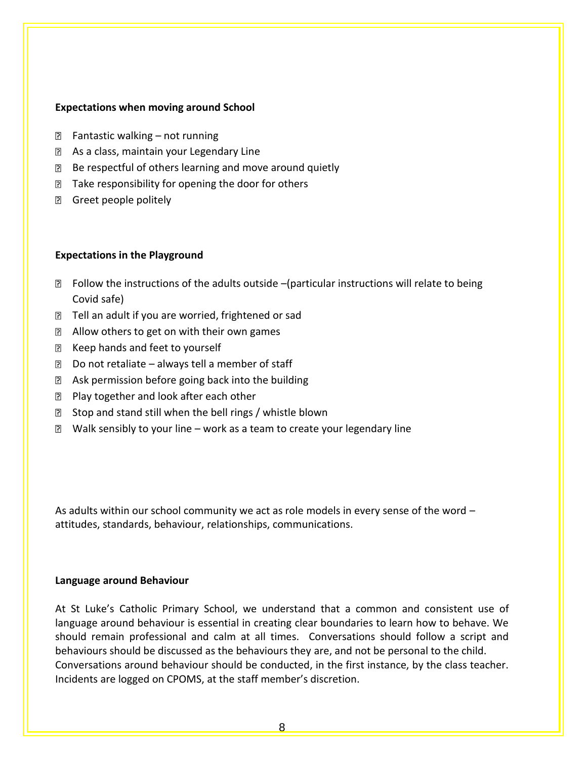#### **Expectations when moving around School**

- **E** Fantastic walking not running
- **E** As a class, maintain your Legendary Line
- Be respectful of others learning and move around quietly
- **The Fake responsibility for opening the door for others**
- **B** Greet people politely

#### **Expectations in the Playground**

- $\boxtimes$  Follow the instructions of the adults outside –(particular instructions will relate to being Covid safe)
- **Tell an adult if you are worried, frightened or sad**
- **Z** Allow others to get on with their own games
- R Keep hands and feet to yourself
- $\Box$  Do not retaliate always tell a member of staff
- $\boxtimes$  Ask permission before going back into the building
- **Play together and look after each other**
- $\boxtimes$  Stop and stand still when the bell rings / whistle blown
- $\boxtimes$  Walk sensibly to your line work as a team to create your legendary line

As adults within our school community we act as role models in every sense of the word – attitudes, standards, behaviour, relationships, communications.

#### **Language around Behaviour**

At St Luke's Catholic Primary School, we understand that a common and consistent use of language around behaviour is essential in creating clear boundaries to learn how to behave. We should remain professional and calm at all times. Conversations should follow a script and behaviours should be discussed as the behaviours they are, and not be personal to the child. Conversations around behaviour should be conducted, in the first instance, by the class teacher. Incidents are logged on CPOMS, at the staff member's discretion.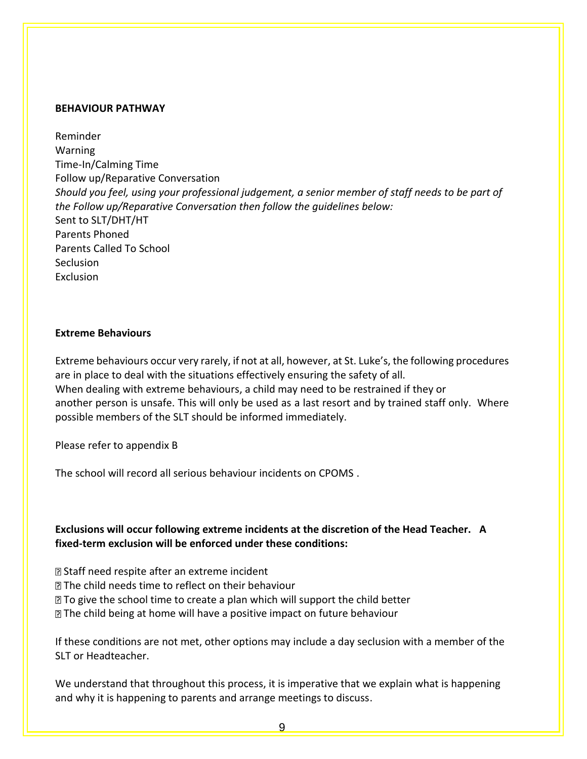#### **BEHAVIOUR PATHWAY**

Reminder Warning Time-In/Calming Time Follow up/Reparative Conversation *Should you feel, using your professional judgement, a senior member of staff needs to be part of the Follow up/Reparative Conversation then follow the guidelines below:* Sent to SLT/DHT/HT Parents Phoned Parents Called To School **Seclusion** Exclusion

#### **Extreme Behaviours**

Extreme behaviours occur very rarely, if not at all, however, at St. Luke's, the following procedures are in place to deal with the situations effectively ensuring the safety of all. When dealing with extreme behaviours, a child may need to be restrained if they or another person is unsafe. This will only be used as a last resort and by trained staff only. Where possible members of the SLT should be informed immediately.

Please refer to appendix B

The school will record all serious behaviour incidents on CPOMS .

## **Exclusions will occur following extreme incidents at the discretion of the Head Teacher. A fixed-term exclusion will be enforced under these conditions:**

Staff need respite after an extreme incident

- **Z** The child needs time to reflect on their behaviour
- To give the school time to create a plan which will support the child better
- The child being at home will have a positive impact on future behaviour

If these conditions are not met, other options may include a day seclusion with a member of the SLT or Headteacher.

We understand that throughout this process, it is imperative that we explain what is happening and why it is happening to parents and arrange meetings to discuss.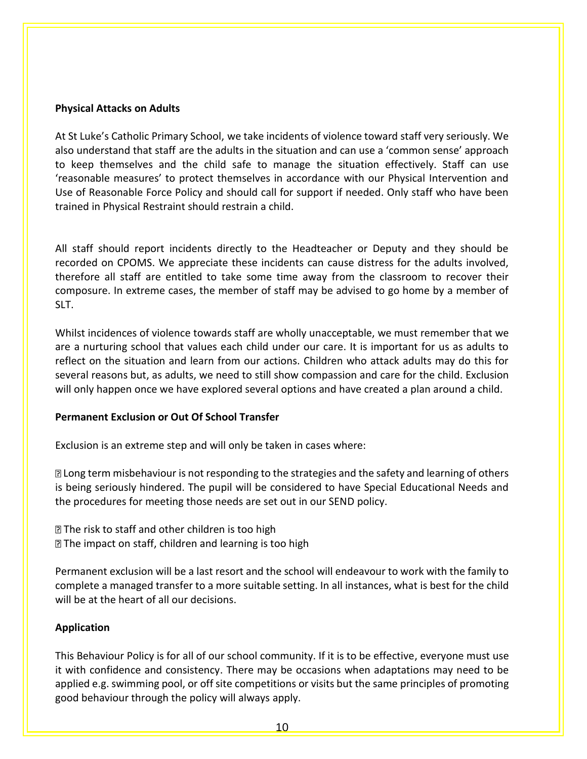#### **Physical Attacks on Adults**

At St Luke's Catholic Primary School, we take incidents of violence toward staff very seriously. We also understand that staff are the adults in the situation and can use a 'common sense' approach to keep themselves and the child safe to manage the situation effectively. Staff can use 'reasonable measures' to protect themselves in accordance with our Physical Intervention and Use of Reasonable Force Policy and should call for support if needed. Only staff who have been trained in Physical Restraint should restrain a child.

All staff should report incidents directly to the Headteacher or Deputy and they should be recorded on CPOMS. We appreciate these incidents can cause distress for the adults involved, therefore all staff are entitled to take some time away from the classroom to recover their composure. In extreme cases, the member of staff may be advised to go home by a member of SLT.

Whilst incidences of violence towards staff are wholly unacceptable, we must remember that we are a nurturing school that values each child under our care. It is important for us as adults to reflect on the situation and learn from our actions. Children who attack adults may do this for several reasons but, as adults, we need to still show compassion and care for the child. Exclusion will only happen once we have explored several options and have created a plan around a child.

#### **Permanent Exclusion or Out Of School Transfer**

Exclusion is an extreme step and will only be taken in cases where:

Long term misbehaviour is not responding to the strategies and the safety and learning of others is being seriously hindered. The pupil will be considered to have Special Educational Needs and the procedures for meeting those needs are set out in our SEND policy.

**The risk to staff and other children is too high The impact on staff, children and learning is too high** 

Permanent exclusion will be a last resort and the school will endeavour to work with the family to complete a managed transfer to a more suitable setting. In all instances, what is best for the child will be at the heart of all our decisions.

## **Application**

This Behaviour Policy is for all of our school community. If it is to be effective, everyone must use it with confidence and consistency. There may be occasions when adaptations may need to be applied e.g. swimming pool, or off site competitions or visits but the same principles of promoting good behaviour through the policy will always apply.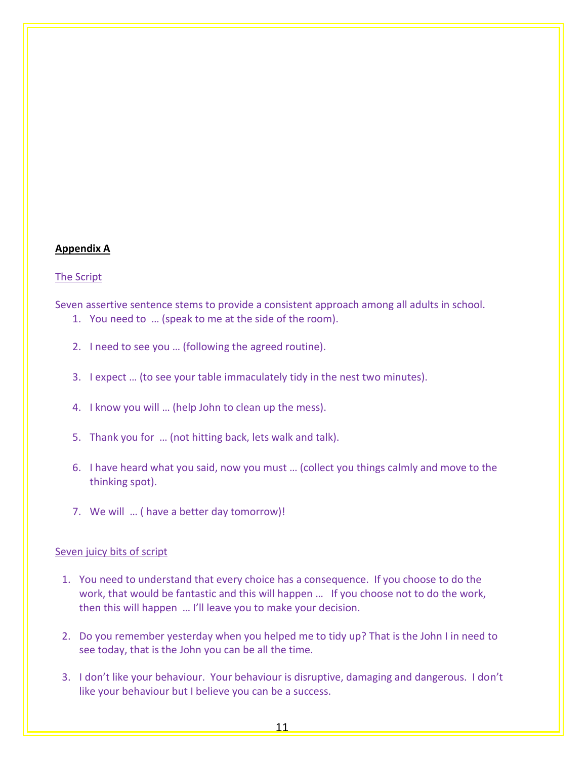#### **Appendix A**

#### The Script

Seven assertive sentence stems to provide a consistent approach among all adults in school.

- 1. You need to … (speak to me at the side of the room).
- 2. I need to see you … (following the agreed routine).
- 3. I expect … (to see your table immaculately tidy in the nest two minutes).
- 4. I know you will … (help John to clean up the mess).
- 5. Thank you for … (not hitting back, lets walk and talk).
- 6. I have heard what you said, now you must … (collect you things calmly and move to the thinking spot).
- 7. We will … ( have a better day tomorrow)!

#### Seven juicy bits of script

- 1. You need to understand that every choice has a consequence. If you choose to do the work, that would be fantastic and this will happen … If you choose not to do the work, then this will happen … I'll leave you to make your decision.
- 2. Do you remember yesterday when you helped me to tidy up? That is the John I in need to see today, that is the John you can be all the time.
- 3. I don't like your behaviour. Your behaviour is disruptive, damaging and dangerous. I don't like your behaviour but I believe you can be a success.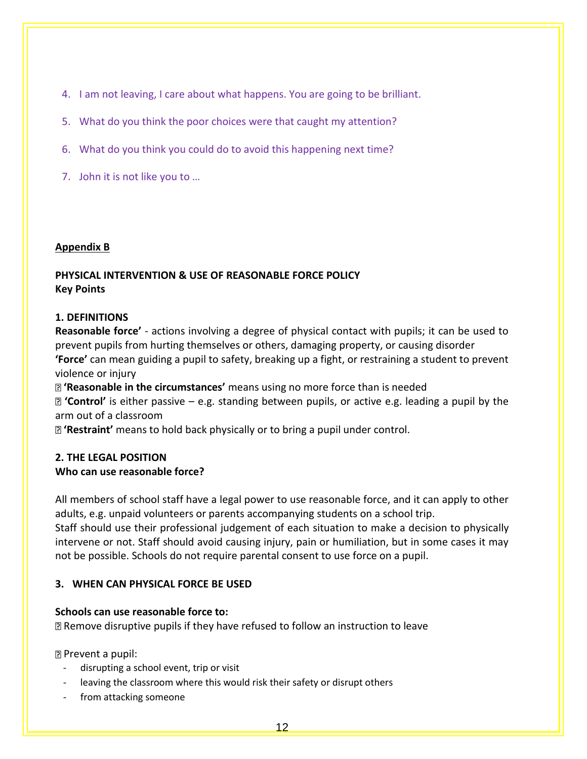- 4. I am not leaving, I care about what happens. You are going to be brilliant.
- 5. What do you think the poor choices were that caught my attention?
- 6. What do you think you could do to avoid this happening next time?
- 7. John it is not like you to …

### **Appendix B**

#### **PHYSICAL INTERVENTION & USE OF REASONABLE FORCE POLICY Key Points**

### **1. DEFINITIONS**

**Reasonable force'** - actions involving a degree of physical contact with pupils; it can be used to prevent pupils from hurting themselves or others, damaging property, or causing disorder **'Force'** can mean guiding a pupil to safety, breaking up a fight, or restraining a student to prevent violence or injury

**'Reasonable in the circumstances'** means using no more force than is needed

**'Control'** is either passive – e.g. standing between pupils, or active e.g. leading a pupil by the arm out of a classroom

**'Restraint'** means to hold back physically or to bring a pupil under control.

## **2. THE LEGAL POSITION Who can use reasonable force?**

All members of school staff have a legal power to use reasonable force, and it can apply to other adults, e.g. unpaid volunteers or parents accompanying students on a school trip.

Staff should use their professional judgement of each situation to make a decision to physically intervene or not. Staff should avoid causing injury, pain or humiliation, but in some cases it may not be possible. Schools do not require parental consent to use force on a pupil.

## **3. WHEN CAN PHYSICAL FORCE BE USED**

## **Schools can use reasonable force to:**

Remove disruptive pupils if they have refused to follow an instruction to leave

Prevent a pupil:

- disrupting a school event, trip or visit
- leaving the classroom where this would risk their safety or disrupt others
- from attacking someone